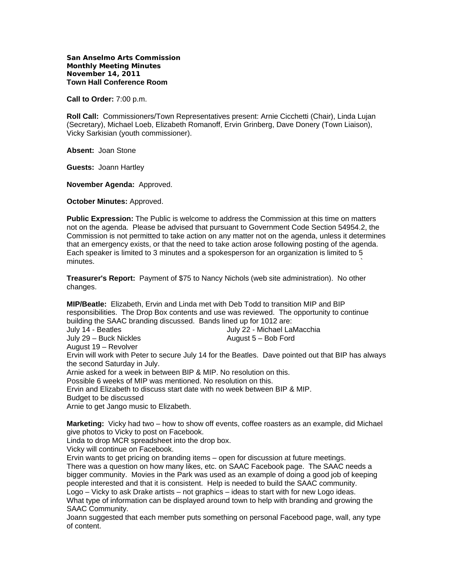**San Anselmo Arts Commission Monthly Meeting Minutes November 14, 2011 Town Hall Conference Room** 

**Call to Order:** 7:00 p.m.

**Roll Call:** Commissioners/Town Representatives present: Arnie Cicchetti (Chair), Linda Lujan (Secretary), Michael Loeb, Elizabeth Romanoff, Ervin Grinberg, Dave Donery (Town Liaison), Vicky Sarkisian (youth commissioner).

**Absent:** Joan Stone

**Guests:** Joann Hartley

**November Agenda:** Approved.

**October Minutes:** Approved.

**Public Expression:** The Public is welcome to address the Commission at this time on matters not on the agenda. Please be advised that pursuant to Government Code Section 54954.2, the Commission is not permitted to take action on any matter not on the agenda, unless it determines that an emergency exists, or that the need to take action arose following posting of the agenda. Each speaker is limited to 3 minutes and a spokesperson for an organization is limited to 5  $m$ inutes.  $\sim$ 

**Treasurer's Report:** Payment of \$75 to Nancy Nichols (web site administration). No other changes.

**MIP/Beatle:** Elizabeth, Ervin and Linda met with Deb Todd to transition MIP and BIP responsibilities. The Drop Box contents and use was reviewed. The opportunity to continue building the SAAC branding discussed. Bands lined up for 1012 are:

| July 14 - Beatles      | July 22 - Michael LaMacchia |
|------------------------|-----------------------------|
| July 29 – Buck Nickles | August 5 – Bob Ford         |
| August 19 - Revolver   |                             |

Ervin will work with Peter to secure July 14 for the Beatles. Dave pointed out that BIP has always the second Saturday in July.

Arnie asked for a week in between BIP & MIP. No resolution on this.

Possible 6 weeks of MIP was mentioned. No resolution on this.

Ervin and Elizabeth to discuss start date with no week between BIP & MIP.

Budget to be discussed

Arnie to get Jango music to Elizabeth.

**Marketing:** Vicky had two – how to show off events, coffee roasters as an example, did Michael give photos to Vicky to post on Facebook.

Linda to drop MCR spreadsheet into the drop box.

Vicky will continue on Facebook.

Ervin wants to get pricing on branding items – open for discussion at future meetings. There was a question on how many likes, etc. on SAAC Facebook page. The SAAC needs a bigger community. Movies in the Park was used as an example of doing a good job of keeping people interested and that it is consistent. Help is needed to build the SAAC community. Logo – Vicky to ask Drake artists – not graphics – ideas to start with for new Logo ideas. What type of information can be displayed around town to help with branding and growing the SAAC Community.

Joann suggested that each member puts something on personal Facebood page, wall, any type of content.